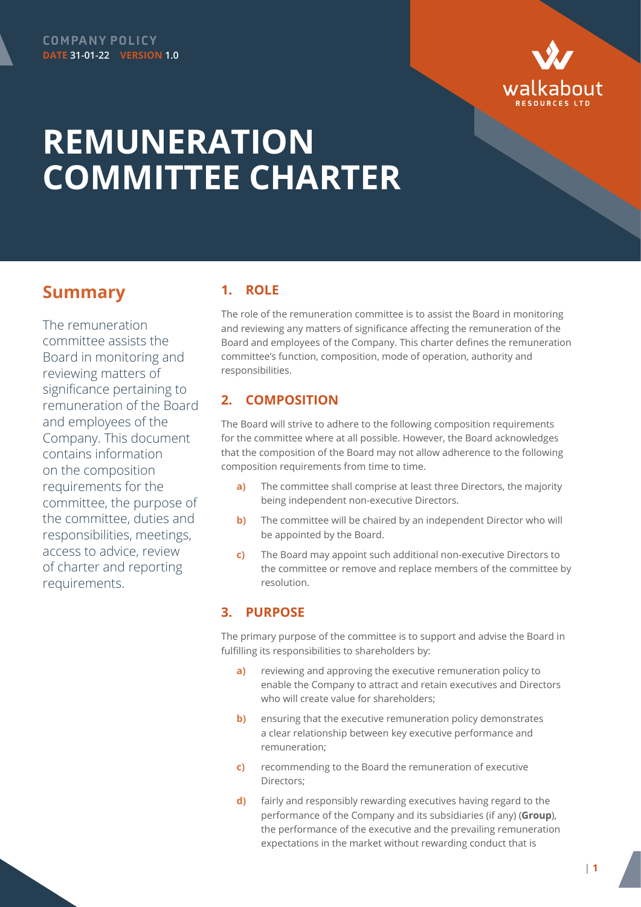

# **REMUNERATION COMMITTEE CHARTER**

# **Summary**

The remuneration committee assists the Board in monitoring and reviewing matters of significance pertaining to remuneration of the Board and employees of the Company. This document contains information on the composition requirements for the committee, the purpose of the committee, duties and responsibilities, meetings, access to advice, review of charter and reporting requirements.

# **1. ROLE**

The role of the remuneration committee is to assist the Board in monitoring and reviewing any matters of significance affecting the remuneration of the Board and employees of the Company. This charter defines the remuneration committee's function, composition, mode of operation, authority and responsibilities.

# **2. COMPOSITION**

The Board will strive to adhere to the following composition requirements for the committee where at all possible. However, the Board acknowledges that the composition of the Board may not allow adherence to the following composition requirements from time to time.

- **a)** The committee shall comprise at least three Directors, the majority being independent non-executive Directors.
- **b)** The committee will be chaired by an independent Director who will be appointed by the Board.
- **c)** The Board may appoint such additional non-executive Directors to the committee or remove and replace members of the committee by resolution.

# **3. PURPOSE**

The primary purpose of the committee is to support and advise the Board in fulfilling its responsibilities to shareholders by:

- **a)** reviewing and approving the executive remuneration policy to enable the Company to attract and retain executives and Directors who will create value for shareholders;
- **b)** ensuring that the executive remuneration policy demonstrates a clear relationship between key executive performance and remuneration;
- **c)** recommending to the Board the remuneration of executive Directors;
- **d)** fairly and responsibly rewarding executives having regard to the performance of the Company and its subsidiaries (if any) (**Group**), the performance of the executive and the prevailing remuneration expectations in the market without rewarding conduct that is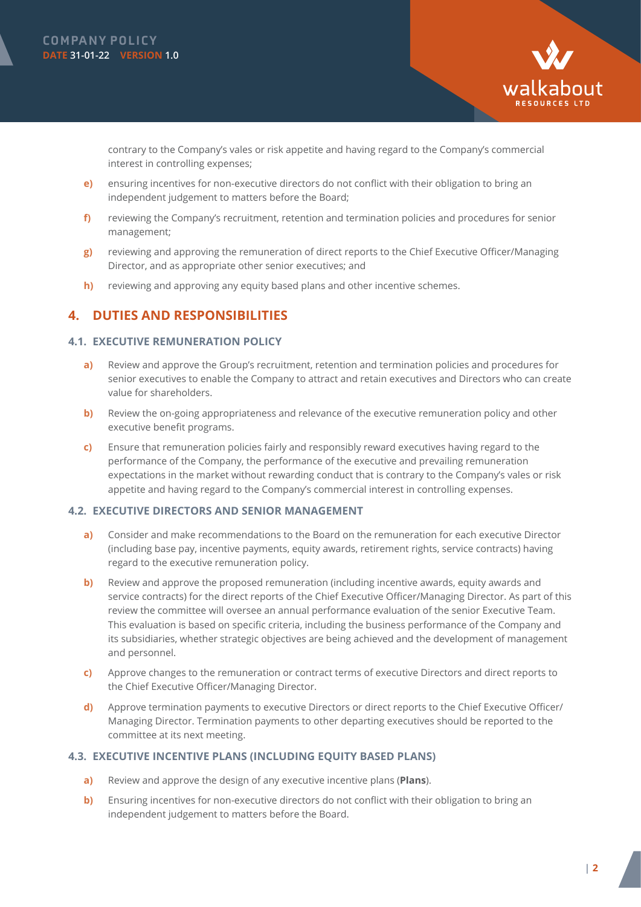



contrary to the Company's vales or risk appetite and having regard to the Company's commercial interest in controlling expenses;

- **e)** ensuring incentives for non-executive directors do not conflict with their obligation to bring an independent judgement to matters before the Board;
- **f)** reviewing the Company's recruitment, retention and termination policies and procedures for senior management;
- **g)** reviewing and approving the remuneration of direct reports to the Chief Executive Officer/Managing Director, and as appropriate other senior executives; and
- **h)** reviewing and approving any equity based plans and other incentive schemes.

# **4. DUTIES AND RESPONSIBILITIES**

#### **4.1. EXECUTIVE REMUNERATION POLICY**

- **a)** Review and approve the Group's recruitment, retention and termination policies and procedures for senior executives to enable the Company to attract and retain executives and Directors who can create value for shareholders.
- **b)** Review the on-going appropriateness and relevance of the executive remuneration policy and other executive benefit programs.
- **c)** Ensure that remuneration policies fairly and responsibly reward executives having regard to the performance of the Company, the performance of the executive and prevailing remuneration expectations in the market without rewarding conduct that is contrary to the Company's vales or risk appetite and having regard to the Company's commercial interest in controlling expenses.

#### **4.2. EXECUTIVE DIRECTORS AND SENIOR MANAGEMENT**

- **a)** Consider and make recommendations to the Board on the remuneration for each executive Director (including base pay, incentive payments, equity awards, retirement rights, service contracts) having regard to the executive remuneration policy.
- **b)** Review and approve the proposed remuneration (including incentive awards, equity awards and service contracts) for the direct reports of the Chief Executive Officer/Managing Director. As part of this review the committee will oversee an annual performance evaluation of the senior Executive Team. This evaluation is based on specific criteria, including the business performance of the Company and its subsidiaries, whether strategic objectives are being achieved and the development of management and personnel.
- **c)** Approve changes to the remuneration or contract terms of executive Directors and direct reports to the Chief Executive Officer/Managing Director.
- **d)** Approve termination payments to executive Directors or direct reports to the Chief Executive Officer/ Managing Director. Termination payments to other departing executives should be reported to the committee at its next meeting.

#### **4.3. EXECUTIVE INCENTIVE PLANS (INCLUDING EQUITY BASED PLANS)**

- **a)** Review and approve the design of any executive incentive plans (**Plans**).
- **b)** Ensuring incentives for non-executive directors do not conflict with their obligation to bring an independent judgement to matters before the Board.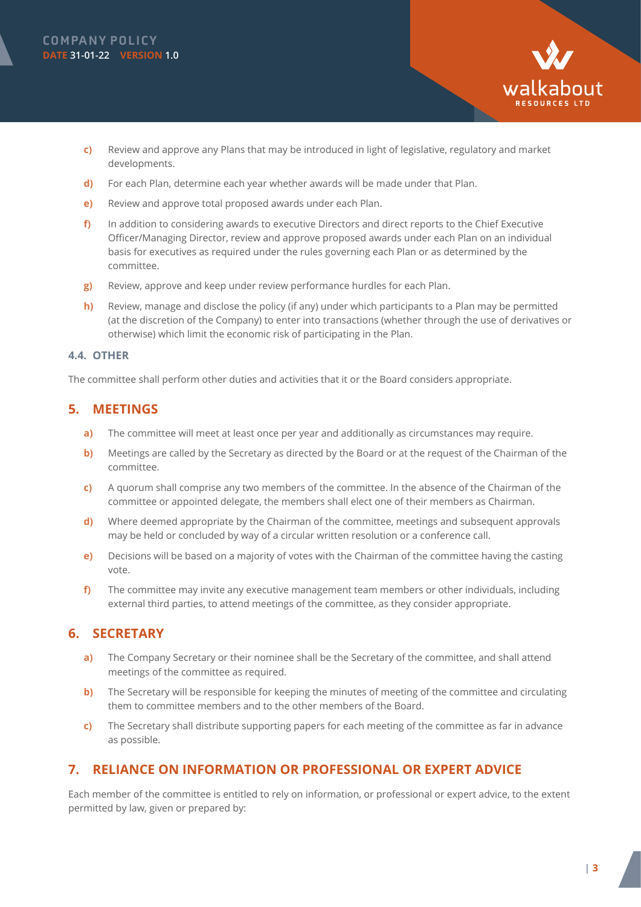

- **c)** Review and approve any Plans that may be introduced in light of legislative, regulatory and market developments.
- **d)** For each Plan, determine each year whether awards will be made under that Plan.
- **e)** Review and approve total proposed awards under each Plan.
- **f)** In addition to considering awards to executive Directors and direct reports to the Chief Executive Officer/Managing Director, review and approve proposed awards under each Plan on an individual basis for executives as required under the rules governing each Plan or as determined by the committee.
- **g)** Review, approve and keep under review performance hurdles for each Plan.
- **h)** Review, manage and disclose the policy (if any) under which participants to a Plan may be permitted (at the discretion of the Company) to enter into transactions (whether through the use of derivatives or otherwise) which limit the economic risk of participating in the Plan.

#### **4.4. OTHER**

The committee shall perform other duties and activities that it or the Board considers appropriate.

### **5. MEETINGS**

- **a)** The committee will meet at least once per year and additionally as circumstances may require.
- **b)** Meetings are called by the Secretary as directed by the Board or at the request of the Chairman of the committee.
- **c)** A quorum shall comprise any two members of the committee. In the absence of the Chairman of the committee or appointed delegate, the members shall elect one of their members as Chairman.
- **d)** Where deemed appropriate by the Chairman of the committee, meetings and subsequent approvals may be held or concluded by way of a circular written resolution or a conference call.
- **e)** Decisions will be based on a majority of votes with the Chairman of the committee having the casting vote.
- **f)** The committee may invite any executive management team members or other individuals, including external third parties, to attend meetings of the committee, as they consider appropriate.

## **6. SECRETARY**

- **a)** The Company Secretary or their nominee shall be the Secretary of the committee, and shall attend meetings of the committee as required.
- **b)** The Secretary will be responsible for keeping the minutes of meeting of the committee and circulating them to committee members and to the other members of the Board.
- **c)** The Secretary shall distribute supporting papers for each meeting of the committee as far in advance as possible.

## **7. RELIANCE ON INFORMATION OR PROFESSIONAL OR EXPERT ADVICE**

Each member of the committee is entitled to rely on information, or professional or expert advice, to the extent permitted by law, given or prepared by: